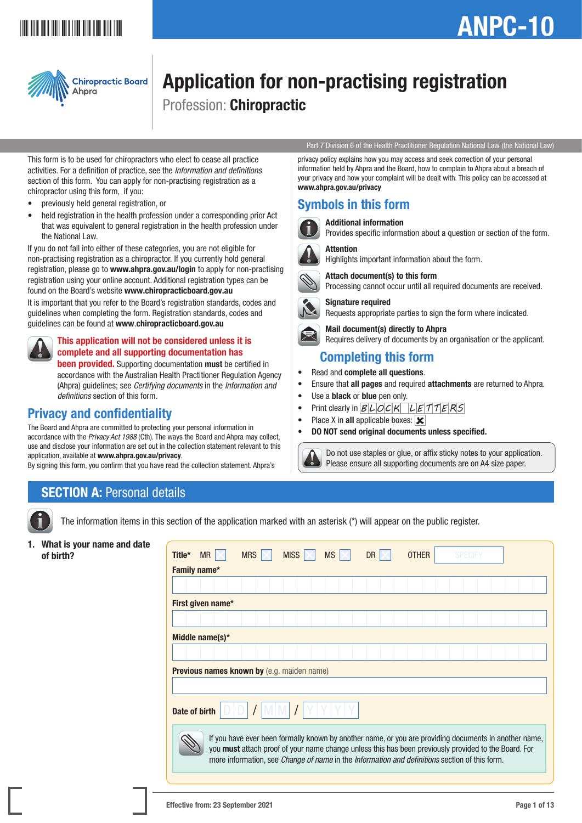## \*ANT AND AND AND AND AND AND AND

# ANPC-10



## Application for non-practising registration Profession: Chiropractic

Part 7 Division 6 of the Health Practitioner Regulation National Law (the National Law)

This form is to be used for chiropractors who elect to cease all practice activities. For a definition of practice, see the *Information and definitions*  section of this form. You can apply for non-practising registration as a chiropractor using this form, if you:

- previously held general registration, or
- held registration in the health profession under a corresponding prior Act that was equivalent to general registration in the health profession under the National Law

If you do not fall into either of these categories, you are not eligible for non-practising registration as a chiropractor. If you currently hold general registration, please go to www.ahpra.gov.au/login to apply for non-practising registration using your online account. Additional registration types can be found on the Board's website www.chiropracticboard.gov.au

It is important that you refer to the Board's registration standards, codes and guidelines when completing the form. Registration standards, codes and guidelines can be found at www.chiropracticboard.gov.au



#### This application will not be considered unless it is complete and all supporting documentation has

**been provided.** Supporting documentation must be certified in accordance with the Australian Health Practitioner Regulation Agency (Ahpra) guidelines; see *Certifying documents* in the *Information and definitions* section of this form.

### Privacy and confidentiality

The Board and Ahpra are committed to protecting your personal information in accordance with the *Privacy Act 1988* (Cth). The ways the Board and Ahpra may collect, use and disclose your information are set out in the collection statement relevant to this application, available at www.ahpra.gov.au/privacy.

By signing this form, you confirm that you have read the collection statement. Ahpra's

#### privacy policy explains how you may access and seek correction of your personal information held by Ahpra and the Board, how to complain to Ahpra about a breach of your privacy and how your complaint will be dealt with. This policy can be accessed at www.ahpra.gov.au/privacy

### Symbols in this form



#### Additional information

Provides specific information about a question or section of the form.



**Attention** Highlights important information about the form.



#### Attach document(s) to this form

Processing cannot occur until all required documents are received.

#### Signature required

Requests appropriate parties to sign the form where indicated.



 Mail document(s) directly to Ahpra Requires delivery of documents by an organisation or the applicant.

### Completing this form

- Read and complete all questions.
- Ensure that all pages and required attachments are returned to Ahpra.
- Use a **black** or **blue** pen only.
- Print clearly in  $B L O C K L E T T E R S$
- Place X in all applicable boxes:  $\mathbf{\times}$
- DO NOT send original documents unless specified.



 Do not use staples or glue, or affix sticky notes to your application. **Please ensure all supporting documents are on A4 size paper.** 

### **SECTION A: Personal details**

The information items in this section of the application marked with an asterisk (\*) will appear on the public register.

1. What is your name and date

| What is your name and date<br>of birth? | Title* | MR $\mathbb{K}$   | MRS $ \times $                                    | MISS $ \times $ | $MS \times$ | DR | <b>OTHER</b> | <b>SPECIFY</b>                                                                                                                                                                                                                                                                                                 |  |
|-----------------------------------------|--------|-------------------|---------------------------------------------------|-----------------|-------------|----|--------------|----------------------------------------------------------------------------------------------------------------------------------------------------------------------------------------------------------------------------------------------------------------------------------------------------------------|--|
|                                         |        | Family name*      |                                                   |                 |             |    |              |                                                                                                                                                                                                                                                                                                                |  |
|                                         |        |                   |                                                   |                 |             |    |              |                                                                                                                                                                                                                                                                                                                |  |
|                                         |        | First given name* |                                                   |                 |             |    |              |                                                                                                                                                                                                                                                                                                                |  |
|                                         |        |                   |                                                   |                 |             |    |              |                                                                                                                                                                                                                                                                                                                |  |
|                                         |        | Middle name(s)*   |                                                   |                 |             |    |              |                                                                                                                                                                                                                                                                                                                |  |
|                                         |        |                   |                                                   |                 |             |    |              |                                                                                                                                                                                                                                                                                                                |  |
|                                         |        |                   | <b>Previous names known by</b> (e.g. maiden name) |                 |             |    |              |                                                                                                                                                                                                                                                                                                                |  |
|                                         |        |                   |                                                   |                 |             |    |              |                                                                                                                                                                                                                                                                                                                |  |
|                                         |        | Date of birth     |                                                   |                 |             |    |              |                                                                                                                                                                                                                                                                                                                |  |
|                                         |        |                   |                                                   |                 |             |    |              | If you have ever been formally known by another name, or you are providing documents in another name,<br>you must attach proof of your name change unless this has been previously provided to the Board. For<br>more information, see Change of name in the Information and definitions section of this form. |  |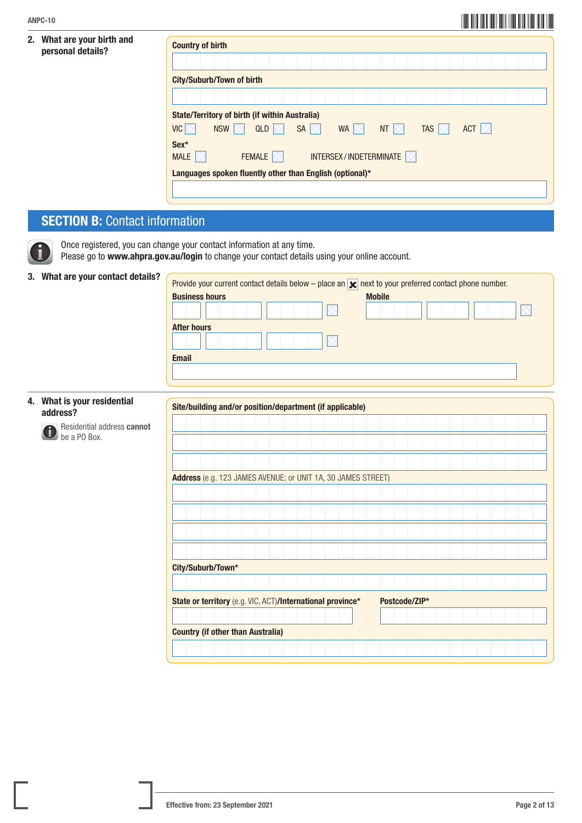#### 2. What are your birth and personal details?

| <b>Country of birth</b>                               |                                  |               |                        |                               |               |                  |                |  |  |
|-------------------------------------------------------|----------------------------------|---------------|------------------------|-------------------------------|---------------|------------------|----------------|--|--|
|                                                       |                                  |               |                        |                               |               |                  |                |  |  |
|                                                       |                                  |               |                        |                               |               |                  |                |  |  |
|                                                       | <b>City/Suburb/Town of birth</b> |               |                        |                               |               |                  |                |  |  |
|                                                       |                                  |               |                        |                               |               |                  |                |  |  |
| <b>State/Territory of birth (if within Australia)</b> |                                  |               |                        |                               |               |                  |                |  |  |
| VIC                                                   | <b>NSW</b>                       | QLD           | SA $\overline{\times}$ | WA $\boxtimes$                | NT $ \times $ | <b>TAS</b><br>IX | ACT $ \times $ |  |  |
| Sex*                                                  |                                  |               |                        |                               |               |                  |                |  |  |
| <b>MALE</b>                                           |                                  | <b>FEMALE</b> |                        | <b>INTERSEX/INDETERMINATE</b> |               |                  |                |  |  |

Mobile

Languages spoken fluently other than English (optional)\*

### **SECTION B: Contact information**

Once registered, you can change your contact information at any time.

Business hours

After hours

Email

Please go to www.ahpra.gov.au/login to change your contact details using your online account.

### 3. What are your contact details? Provide your current contact details below – place an  $\mathbf{\times}$  next to your preferred contact phone number.

4. What is your residential address?



Residential address cannot be a PO Box.

| Site/building and/or position/department (if applicable)     |  |                                          |  |  |  |               |  |  |  |  |  |
|--------------------------------------------------------------|--|------------------------------------------|--|--|--|---------------|--|--|--|--|--|
|                                                              |  |                                          |  |  |  |               |  |  |  |  |  |
|                                                              |  |                                          |  |  |  |               |  |  |  |  |  |
|                                                              |  |                                          |  |  |  |               |  |  |  |  |  |
|                                                              |  |                                          |  |  |  |               |  |  |  |  |  |
| Address (e.g. 123 JAMES AVENUE; or UNIT 1A, 30 JAMES STREET) |  |                                          |  |  |  |               |  |  |  |  |  |
|                                                              |  |                                          |  |  |  |               |  |  |  |  |  |
|                                                              |  |                                          |  |  |  |               |  |  |  |  |  |
|                                                              |  |                                          |  |  |  |               |  |  |  |  |  |
|                                                              |  |                                          |  |  |  |               |  |  |  |  |  |
|                                                              |  |                                          |  |  |  |               |  |  |  |  |  |
|                                                              |  |                                          |  |  |  |               |  |  |  |  |  |
| City/Suburb/Town*                                            |  |                                          |  |  |  |               |  |  |  |  |  |
|                                                              |  |                                          |  |  |  |               |  |  |  |  |  |
|                                                              |  |                                          |  |  |  |               |  |  |  |  |  |
| State or territory (e.g. VIC, ACT)/International province*   |  |                                          |  |  |  | Postcode/ZIP* |  |  |  |  |  |
|                                                              |  |                                          |  |  |  |               |  |  |  |  |  |
|                                                              |  | <b>Country (if other than Australia)</b> |  |  |  |               |  |  |  |  |  |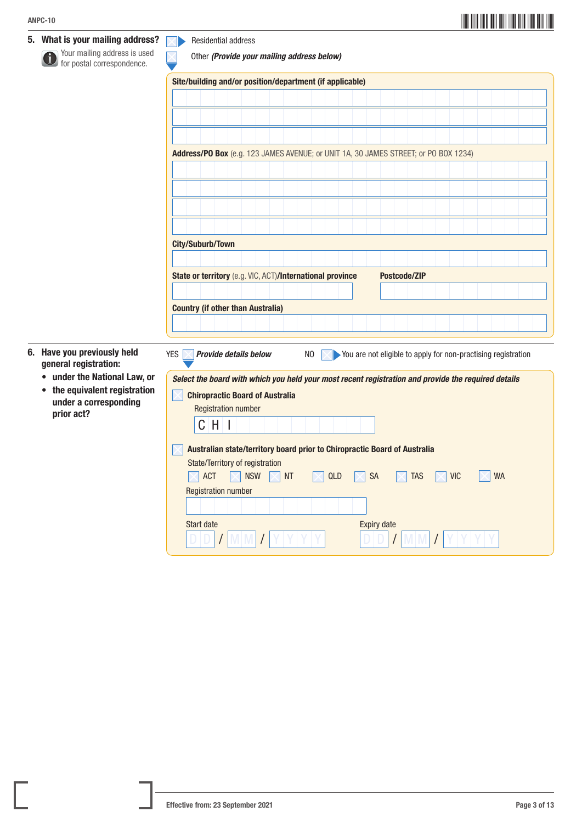5. What is your mailing address?

 Your mailing address is used for postal correspondence.

 $\nabla$ Residential address

Other *(Provide your mailing address below)*

|                                                      | Site/building and/or position/department (if applicable)                                                               |
|------------------------------------------------------|------------------------------------------------------------------------------------------------------------------------|
|                                                      |                                                                                                                        |
|                                                      |                                                                                                                        |
|                                                      |                                                                                                                        |
|                                                      |                                                                                                                        |
|                                                      | Address/PO Box (e.g. 123 JAMES AVENUE; or UNIT 1A, 30 JAMES STREET; or PO BOX 1234)                                    |
|                                                      |                                                                                                                        |
|                                                      |                                                                                                                        |
|                                                      |                                                                                                                        |
|                                                      |                                                                                                                        |
|                                                      |                                                                                                                        |
|                                                      |                                                                                                                        |
|                                                      | <b>City/Suburb/Town</b>                                                                                                |
|                                                      |                                                                                                                        |
|                                                      | State or territory (e.g. VIC, ACT)/International province<br><b>Postcode/ZIP</b>                                       |
|                                                      |                                                                                                                        |
|                                                      | <b>Country (if other than Australia)</b>                                                                               |
|                                                      |                                                                                                                        |
|                                                      |                                                                                                                        |
| 6. Have you previously held<br>general registration: | <b>YES</b><br>Provide details below<br>N <sub>0</sub><br>You are not eligible to apply for non-practising registration |
| • under the National Law, or                         | Select the board with which you held your most recent registration and provide the required details                    |
| • the equivalent registration                        | <b>Chiropractic Board of Australia</b>                                                                                 |
| under a corresponding                                | <b>Registration number</b>                                                                                             |
| prior act?                                           | $CH$ $I$                                                                                                               |
|                                                      |                                                                                                                        |
|                                                      | Australian state/territory board prior to Chiropractic Board of Australia                                              |
|                                                      | <b>State/Territory of registration</b>                                                                                 |
|                                                      | ACT<br><b>NSW</b><br><b>NT</b><br>QLD<br>SA<br><b>TAS</b><br><b>WA</b><br><b>VIC</b>                                   |
|                                                      | <b>Registration number</b>                                                                                             |
|                                                      |                                                                                                                        |
|                                                      | Start date<br><b>Expiry date</b>                                                                                       |
|                                                      |                                                                                                                        |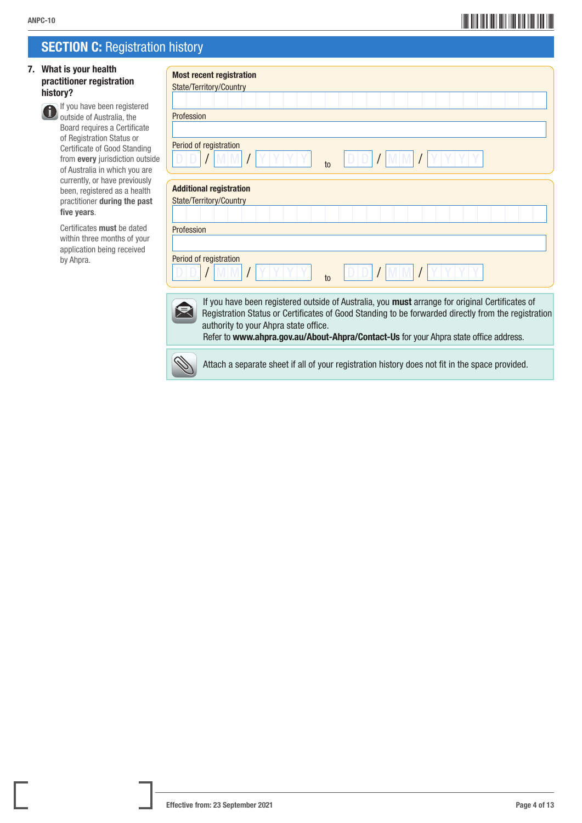## ANPC-10<br>AND -104 AND -104 AND -104 AND -104 AND -104 AND -104 AND -104 AND -104 AND -104 AND -104 AND -104 AND -104 AND -104 AND -104 AND -104 AND -104 AND -104 AND -104 AND -104 AND -104 AND -104 AND -104 AND -104 AND -10

### **SECTION C: Registration history**

#### 7. What is your health practitioner registration history?

If you have been registered outside of Australia, the Board requires a Certificate of Registration Status or Certificate of Good Standing from every jurisdiction outside of Australia in which you are currently, or have previously been, registered as a health practitioner during the past five years.

 Certificates must be dated within three months of your application being received by Ahpra.

| <b>Most recent registration</b>                                                                                                                                                                                                                                                                                                          |
|------------------------------------------------------------------------------------------------------------------------------------------------------------------------------------------------------------------------------------------------------------------------------------------------------------------------------------------|
| State/Territory/Country                                                                                                                                                                                                                                                                                                                  |
|                                                                                                                                                                                                                                                                                                                                          |
| Profession                                                                                                                                                                                                                                                                                                                               |
|                                                                                                                                                                                                                                                                                                                                          |
| Period of registration<br>$t_0$                                                                                                                                                                                                                                                                                                          |
| <b>Additional registration</b>                                                                                                                                                                                                                                                                                                           |
| State/Territory/Country                                                                                                                                                                                                                                                                                                                  |
|                                                                                                                                                                                                                                                                                                                                          |
| Profession                                                                                                                                                                                                                                                                                                                               |
|                                                                                                                                                                                                                                                                                                                                          |
| Period of registration<br>$t_0$                                                                                                                                                                                                                                                                                                          |
| If you have been registered outside of Australia, you must arrange for original Certificates of<br>Registration Status or Certificates of Good Standing to be forwarded directly from the registration<br>authority to your Ahpra state office.<br>Refer to www.ahpra.gov.au/About-Ahpra/Contact-Us for your Ahpra state office address. |
| Attach a separate sheet if all of your registration history does not fit in the space provided.                                                                                                                                                                                                                                          |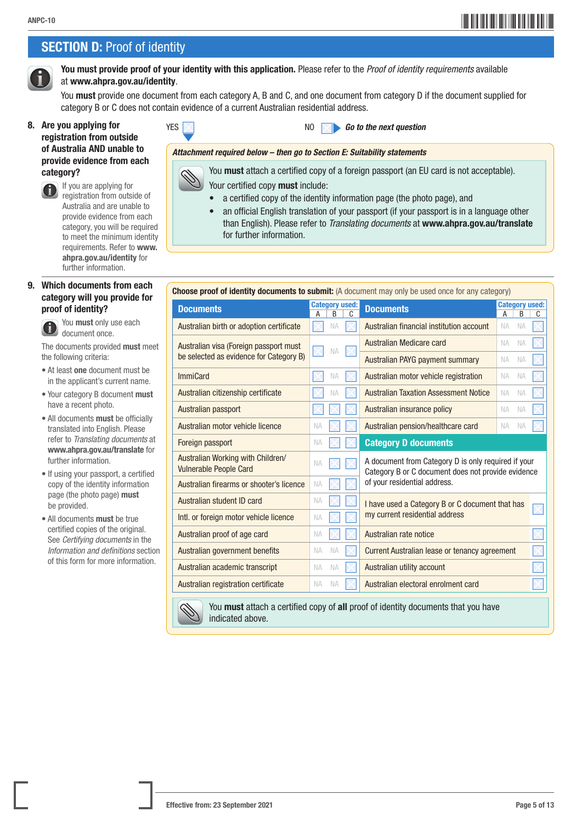## \*ANPC-105\* ANPC-10

### **SECTION D: Proof of identity**



You must provide proof of your identity with this application. Please refer to the *Proof of identity requirements* available at www.ahpra.gov.au/identity.

You must provide one document from each category A, B and C, and one document from category D if the document supplied for category B or C does not contain evidence of a current Australian residential address.

#### 8. Are you applying for registration from outside of Australia AND unable to provide evidence from each category?

 If you are applying for registration from outside of Australia and are unable to provide evidence from each category, you will be required to meet the minimum identity requirements. Refer to [www.](http://www.ahpra.gov.au/identity) [ahpra.gov.au/identity](http://www.ahpra.gov.au/identity) for further information.

#### 9. Which documents from each category will you provide for proof of identity?

You must only use each document once.

The documents provided must meet the following criteria:

- At least one document must be in the applicant's current name.
- Your category B document must have a recent photo.
- All documents must be officially translated into English. Please refer to *Translating documents* at www.ahpra.gov.au/translate for further information.
- If using your passport, a certified copy of the identity information page (the photo page) must be provided.
- All documents must be true certified copies of the original. See *Certifying documents* in the *Information and definitions* section of this form for more information.

YES **NO Go to the next question** 

*Attachment required below – then go to Section E: Suitability statements*

You **must** attach a certified copy of a foreign passport (an EU card is not acceptable). Your certified copy must include:

- a certified copy of the identity information page (the photo page), and
- an official English translation of your passport (if your passport is in a language other than English). Please refer to *Translating documents* at www.ahpra.gov.au/translate for further information.

| Choose proof of identity documents to submit: (A document may only be used once for any category) |                            |                                                                                                           |  |  |  |  |  |  |
|---------------------------------------------------------------------------------------------------|----------------------------|-----------------------------------------------------------------------------------------------------------|--|--|--|--|--|--|
| <b>Documents</b>                                                                                  | <b>Category used:</b><br>R | <b>Category used:</b><br><b>Documents</b><br>B<br>А                                                       |  |  |  |  |  |  |
| Australian birth or adoption certificate                                                          | <b>NA</b>                  | Australian financial institution account<br><b>NA</b><br><b>NA</b>                                        |  |  |  |  |  |  |
| Australian visa (Foreign passport must                                                            | <b>NA</b>                  | Australian Medicare card<br><b>NA</b><br><b>NA</b>                                                        |  |  |  |  |  |  |
| be selected as evidence for Category B)                                                           |                            | Australian PAYG payment summary<br><b>NA</b><br><b>NA</b>                                                 |  |  |  |  |  |  |
| <b>ImmiCard</b>                                                                                   | NА                         | Australian motor vehicle registration<br><b>NA</b><br><b>NA</b>                                           |  |  |  |  |  |  |
| Australian citizenship certificate                                                                | NА                         | <b>Australian Taxation Assessment Notice</b><br>NA<br><b>NA</b>                                           |  |  |  |  |  |  |
| Australian passport                                                                               |                            | Australian insurance policy<br><b>NA</b><br><b>NA</b>                                                     |  |  |  |  |  |  |
| Australian motor vehicle licence                                                                  | <b>NA</b>                  | Australian pension/healthcare card<br><b>NA</b><br><b>NA</b>                                              |  |  |  |  |  |  |
| Foreign passport                                                                                  | <b>NA</b>                  | <b>Category D documents</b>                                                                               |  |  |  |  |  |  |
| Australian Working with Children/<br><b>Vulnerable People Card</b>                                | <b>NA</b>                  | A document from Category D is only required if your<br>Category B or C document does not provide evidence |  |  |  |  |  |  |
| Australian firearms or shooter's licence                                                          | <b>NA</b>                  | of your residential address.                                                                              |  |  |  |  |  |  |
| Australian student ID card                                                                        | <b>NA</b>                  | I have used a Category B or C document that has                                                           |  |  |  |  |  |  |
| Intl. or foreign motor vehicle licence                                                            | <b>NA</b>                  | my current residential address                                                                            |  |  |  |  |  |  |
| Australian proof of age card                                                                      | <b>NA</b>                  | Australian rate notice                                                                                    |  |  |  |  |  |  |
| Australian government benefits                                                                    | <b>NA</b><br><b>NA</b>     | Current Australian lease or tenancy agreement                                                             |  |  |  |  |  |  |
| Australian academic transcript                                                                    | <b>NA</b><br><b>NA</b>     | Australian utility account                                                                                |  |  |  |  |  |  |
| Australian registration certificate                                                               | <b>NA</b><br>ΝA            | Australian electoral enrolment card                                                                       |  |  |  |  |  |  |



You must attach a certified copy of all proof of identity documents that you have indicated above.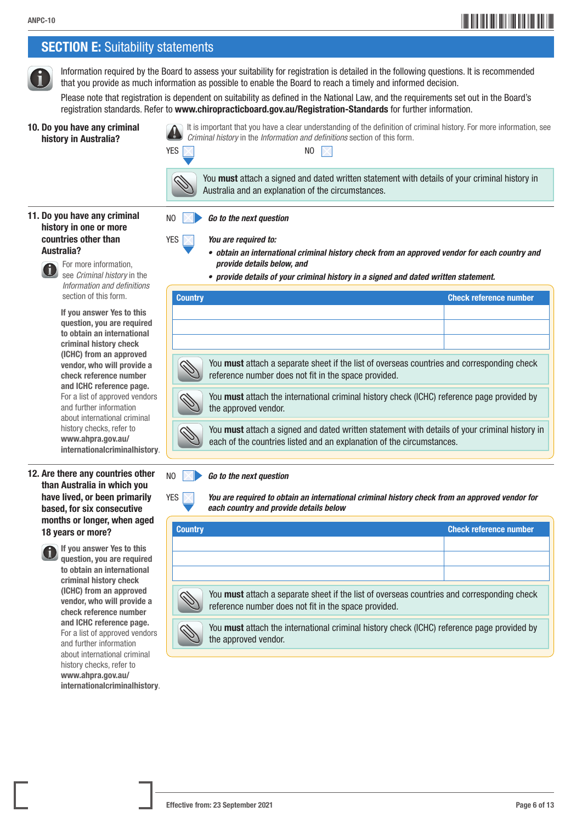## \*ANPC-106\* ANPC-10

### **SECTION E:** Suitability statements

 Information required by the Board to assess your suitability for registration is detailed in the following questions. It is recommended that you provide as much information as possible to enable the Board to reach a timely and informed decision.

Please note that registration is dependent on suitability as defined in the National Law, and the requirements set out in the Board's registration standards. Refer to www.chiropracticboard.gov.au/Registration-Standards for further information.

#### 10. Do you have any criminal history in Australia?

 It is important that you have a clear understanding of the definition of criminal history. For more information, see *Criminal history* in the *Information and definitions* section of this form.  $YES \times$ 



You must attach a signed and dated written statement with details of your criminal history in Australia and an explanation of the circumstances.

#### 11. Do you have any criminal history in one or more countries other than Australia?

 For more information, see *Criminal history* in the *Information and definitions* section of this form.

If you answer Yes to this question, you are required to obtain an international criminal history check (ICHC) from an approved vendor, who will provide a check reference number and ICHC reference page. For a list of approved vendors and further information about international criminal history checks, refer to www.ahpra.gov.au/ internationalcriminalhistory.

12. Are there any countries other than Australia in which you have lived, or been primarily based, for six consecutive months or longer, when aged 18 years or more?



 If you answer Yes to this question, you are required to obtain an international criminal history check (ICHC) from an approved vendor, who will provide a check reference number and ICHC reference page. For a list of approved vendors and further information about international criminal history checks, refer to www.ahpra.gov.au/ internationalcriminalhistory. NO *Go to the next question*

YES *You are required to:*

- *• obtain an international criminal history check from an approved vendor for each country and provide details below, and*
- *• provide details of your criminal history in a signed and dated written statement.*

| <b>Country</b>                                                                                                                                                         | <b>Check reference number</b> |  |  |  |  |  |
|------------------------------------------------------------------------------------------------------------------------------------------------------------------------|-------------------------------|--|--|--|--|--|
|                                                                                                                                                                        |                               |  |  |  |  |  |
|                                                                                                                                                                        |                               |  |  |  |  |  |
|                                                                                                                                                                        |                               |  |  |  |  |  |
| You <b>must</b> attach a separate sheet if the list of overseas countries and corresponding check<br>reference number does not fit in the space provided.              |                               |  |  |  |  |  |
| You must attach the international criminal history check (ICHC) reference page provided by<br>the approved vendor.                                                     |                               |  |  |  |  |  |
| You must attach a signed and dated written statement with details of your criminal history in<br>each of the countries listed and an explanation of the circumstances. |                               |  |  |  |  |  |

#### NO *Go to the next question*



the approved vendor.

YES *You are required to obtain an international criminal history check from an approved vendor for each country and provide details below*

| <b>Country</b> |                                                                                                                                                    | <b>Check reference number</b> |  |  |  |  |  |
|----------------|----------------------------------------------------------------------------------------------------------------------------------------------------|-------------------------------|--|--|--|--|--|
|                |                                                                                                                                                    |                               |  |  |  |  |  |
|                |                                                                                                                                                    |                               |  |  |  |  |  |
|                |                                                                                                                                                    |                               |  |  |  |  |  |
|                | You must attach a separate sheet if the list of overseas countries and corresponding check<br>reference number does not fit in the space provided. |                               |  |  |  |  |  |
|                | You must attach the international criminal history check (ICHC) reference page provided by                                                         |                               |  |  |  |  |  |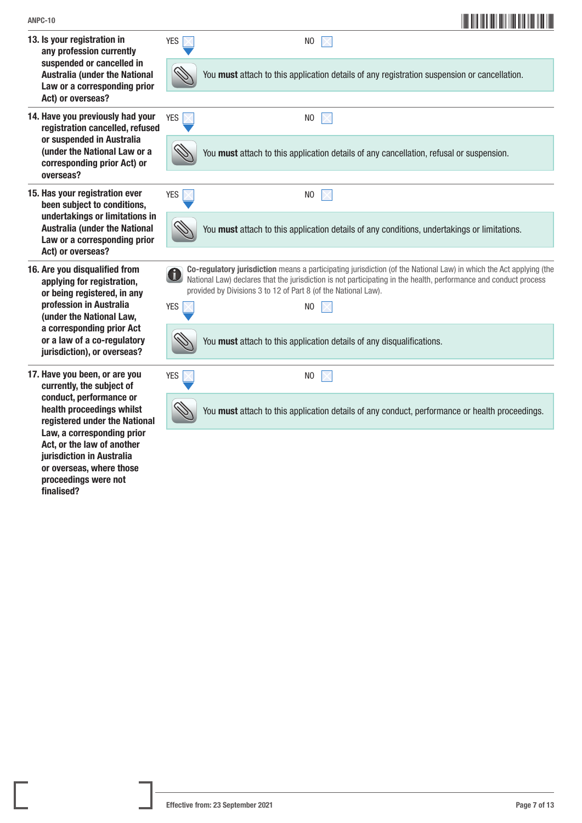or overseas, where those proceedings were not

finalised?

| ANPC-10                                                                                                                     |            | <u> III Martin Martin Martin Martin </u>                                                                                                                                                                                                                                                                 |
|-----------------------------------------------------------------------------------------------------------------------------|------------|----------------------------------------------------------------------------------------------------------------------------------------------------------------------------------------------------------------------------------------------------------------------------------------------------------|
| 13. Is your registration in<br>any profession currently                                                                     | <b>YES</b> | N <sub>0</sub>                                                                                                                                                                                                                                                                                           |
| suspended or cancelled in<br><b>Australia (under the National</b><br>Law or a corresponding prior<br>Act) or overseas?      |            | You must attach to this application details of any registration suspension or cancellation.                                                                                                                                                                                                              |
| 14. Have you previously had your<br>registration cancelled, refused                                                         | <b>YES</b> | N <sub>0</sub>                                                                                                                                                                                                                                                                                           |
| or suspended in Australia<br>(under the National Law or a<br>corresponding prior Act) or<br>overseas?                       |            | You must attach to this application details of any cancellation, refusal or suspension.                                                                                                                                                                                                                  |
| 15. Has your registration ever<br>been subject to conditions,                                                               | <b>YES</b> | N <sub>0</sub>                                                                                                                                                                                                                                                                                           |
| undertakings or limitations in<br><b>Australia (under the National</b><br>Law or a corresponding prior<br>Act) or overseas? |            | You must attach to this application details of any conditions, undertakings or limitations.                                                                                                                                                                                                              |
| 16. Are you disqualified from<br>applying for registration,<br>or being registered, in any                                  | d          | Co-regulatory jurisdiction means a participating jurisdiction (of the National Law) in which the Act applying (the<br>National Law) declares that the jurisdiction is not participating in the health, performance and conduct process<br>provided by Divisions 3 to 12 of Part 8 (of the National Law). |
| profession in Australia<br>(under the National Law,                                                                         | <b>YES</b> | N <sub>0</sub>                                                                                                                                                                                                                                                                                           |
| a corresponding prior Act<br>or a law of a co-regulatory<br>jurisdiction), or overseas?                                     | Í,         | You must attach to this application details of any disqualifications.                                                                                                                                                                                                                                    |
| 17. Have you been, or are you<br>currently, the subject of                                                                  | <b>YES</b> | N <sub>0</sub>                                                                                                                                                                                                                                                                                           |
| conduct, performance or<br>health proceedings whilst<br>registered under the National                                       |            | You must attach to this application details of any conduct, performance or health proceedings.                                                                                                                                                                                                           |
| Law, a corresponding prior<br>Act, or the law of another<br><b>iurisdiction in Australia</b>                                |            |                                                                                                                                                                                                                                                                                                          |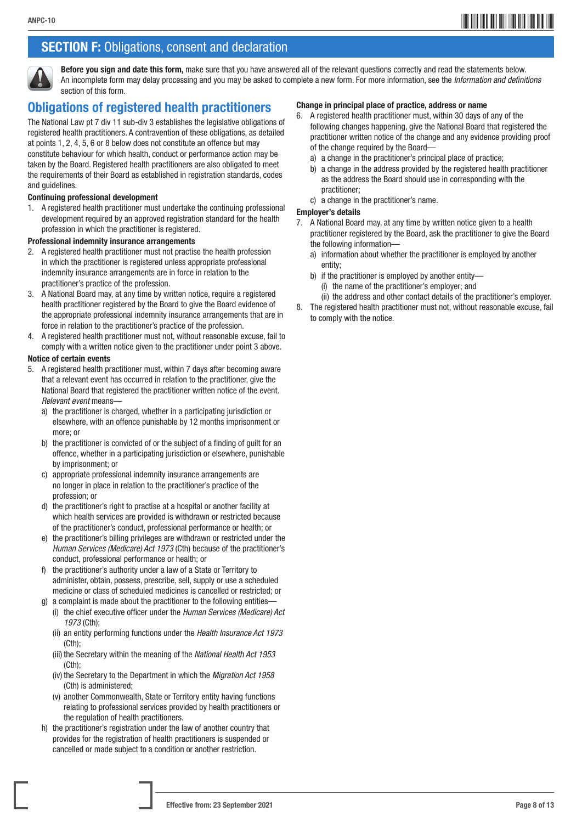### **SECTION F:** Obligations, consent and declaration



Before you sign and date this form, make sure that you have answered all of the relevant questions correctly and read the statements below. An incomplete form may delay processing and you may be asked to complete a new form. For more information, see the *Information and definitions*  section of this form.

### Obligations of registered health practitioners

The National Law pt 7 div 11 sub-div 3 establishes the legislative obligations of registered health practitioners. A contravention of these obligations, as detailed at points 1, 2, 4, 5, 6 or 8 below does not constitute an offence but may constitute behaviour for which health, conduct or performance action may be taken by the Board. Registered health practitioners are also obligated to meet the requirements of their Board as established in registration standards, codes and quidelines.

#### Continuing professional development

1. A registered health practitioner must undertake the continuing professional development required by an approved registration standard for the health profession in which the practitioner is registered.

#### Professional indemnity insurance arrangements

- 2. A registered health practitioner must not practise the health profession in which the practitioner is registered unless appropriate professional indemnity insurance arrangements are in force in relation to the practitioner's practice of the profession.
- 3. A National Board may, at any time by written notice, require a registered health practitioner registered by the Board to give the Board evidence of the appropriate professional indemnity insurance arrangements that are in force in relation to the practitioner's practice of the profession.
- 4. A registered health practitioner must not, without reasonable excuse, fail to comply with a written notice given to the practitioner under point 3 above.

#### Notice of certain events

- 5. A registered health practitioner must, within 7 days after becoming aware that a relevant event has occurred in relation to the practitioner, give the National Board that registered the practitioner written notice of the event. *Relevant event* means
	- a) the practitioner is charged, whether in a participating jurisdiction or elsewhere, with an offence punishable by 12 months imprisonment or more; or
	- b) the practitioner is convicted of or the subject of a finding of guilt for an offence, whether in a participating jurisdiction or elsewhere, punishable by imprisonment; or
	- c) appropriate professional indemnity insurance arrangements are no longer in place in relation to the practitioner's practice of the profession; or
	- d) the practitioner's right to practise at a hospital or another facility at which health services are provided is withdrawn or restricted because of the practitioner's conduct, professional performance or health; or
	- e) the practitioner's billing privileges are withdrawn or restricted under the *Human Services (Medicare) Act 1973* (Cth) because of the practitioner's conduct, professional performance or health; or
	- the practitioner's authority under a law of a State or Territory to administer, obtain, possess, prescribe, sell, supply or use a scheduled medicine or class of scheduled medicines is cancelled or restricted; or
	- g) a complaint is made about the practitioner to the following entities-(i) the chief executive officer under the *Human Services (Medicare) Act 1973* (Cth);
		- (ii) an entity performing functions under the *Health Insurance Act 1973*  (Cth);
		- (iii) the Secretary within the meaning of the *National Health Act 1953*   $(Cth)$ :
		- (iv) the Secretary to the Department in which the *Migration Act 1958* (Cth) is administered;
		- (v) another Commonwealth, State or Territory entity having functions relating to professional services provided by health practitioners or the regulation of health practitioners.
	- h) the practitioner's registration under the law of another country that provides for the registration of health practitioners is suspended or cancelled or made subject to a condition or another restriction.

#### Change in principal place of practice, address or name

- 6. A registered health practitioner must, within 30 days of any of the following changes happening, give the National Board that registered the practitioner written notice of the change and any evidence providing proof of the change required by the Board
	- a) a change in the practitioner's principal place of practice;
	- b) a change in the address provided by the registered health practitioner as the address the Board should use in corresponding with the practitioner;
	- c) a change in the practitioner's name.

#### Employer's details

- 7. A National Board may, at any time by written notice given to a health practitioner registered by the Board, ask the practitioner to give the Board the following information
	- a) information about whether the practitioner is employed by another entity;
	- b) if the practitioner is employed by another entity— (i) the name of the practitioner's employer; and
		- (ii) the address and other contact details of the practitioner's employer.
- 8. The registered health practitioner must not, without reasonable excuse, fail to comply with the notice.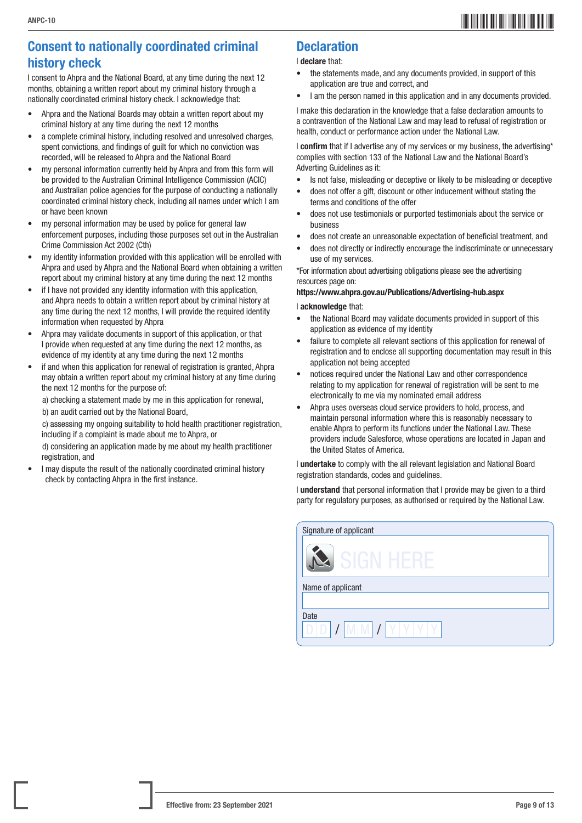### Consent to nationally coordinated criminal history check

I consent to Ahpra and the National Board, at any time during the next 12 months, obtaining a written report about my criminal history through a nationally coordinated criminal history check. I acknowledge that:

- Ahpra and the National Boards may obtain a written report about my criminal history at any time during the next 12 months
- a complete criminal history, including resolved and unresolved charges, spent convictions, and findings of guilt for which no conviction was recorded, will be released to Ahpra and the National Board
- my personal information currently held by Ahpra and from this form will be provided to the Australian Criminal Intelligence Commission (ACIC) and Australian police agencies for the purpose of conducting a nationally coordinated criminal history check, including all names under which I am or have been known
- my personal information may be used by police for general law enforcement purposes, including those purposes set out in the Australian Crime Commission Act 2002 (Cth)
- my identity information provided with this application will be enrolled with Ahpra and used by Ahpra and the National Board when obtaining a written report about my criminal history at any time during the next 12 months
- if I have not provided any identity information with this application. and Ahpra needs to obtain a written report about by criminal history at any time during the next 12 months, I will provide the required identity information when requested by Ahpra
- Ahpra may validate documents in support of this application, or that I provide when requested at any time during the next 12 months, as evidence of my identity at any time during the next 12 months
- if and when this application for renewal of registration is granted, Ahpra may obtain a written report about my criminal history at any time during the next 12 months for the purpose of:

a) checking a statement made by me in this application for renewal, b) an audit carried out by the National Board,

c) assessing my ongoing suitability to hold health practitioner registration, including if a complaint is made about me to Ahpra, or

d) considering an application made by me about my health practitioner registration, and

• I may dispute the result of the nationally coordinated criminal history check by contacting Ahpra in the first instance.

### **Declaration**

#### I declare that:

- the statements made, and any documents provided, in support of this application are true and correct, and
- I am the person named in this application and in any documents provided.

I make this declaration in the knowledge that a false declaration amounts to a contravention of the National Law and may lead to refusal of registration or health, conduct or performance action under the National Law.

I confirm that if I advertise any of my services or my business, the advertising\* complies with section 133 of the National Law and the National Board's Adverting Guidelines as it:

- Is not false, misleading or deceptive or likely to be misleading or deceptive
- does not offer a gift, discount or other inducement without stating the terms and conditions of the offer
- does not use testimonials or purported testimonials about the service or business
- does not create an unreasonable expectation of beneficial treatment, and
- does not directly or indirectly encourage the indiscriminate or unnecessary use of my services.

\*For information about advertising obligations please see the advertising resources page on:

#### <https://www.ahpra.gov.au/Publications/Advertising-hub.aspx>

#### I acknowledge that:

- the National Board may validate documents provided in support of this application as evidence of my identity
- failure to complete all relevant sections of this application for renewal of registration and to enclose all supporting documentation may result in this application not being accepted
- notices required under the National Law and other correspondence relating to my application for renewal of registration will be sent to me electronically to me via my nominated email address
- Ahpra uses overseas cloud service providers to hold, process, and maintain personal information where this is reasonably necessary to enable Ahpra to perform its functions under the National Law. These providers include Salesforce, whose operations are located in Japan and the United States of America.

I undertake to comply with the all relevant legislation and National Board registration standards, codes and guidelines.

I understand that personal information that I provide may be given to a third party for regulatory purposes, as authorised or required by the National Law.

| Signature of applicant |
|------------------------|
| 51GN<br>. HE           |
| Name of applicant      |
|                        |
| Date                   |
| $M$ $M$                |

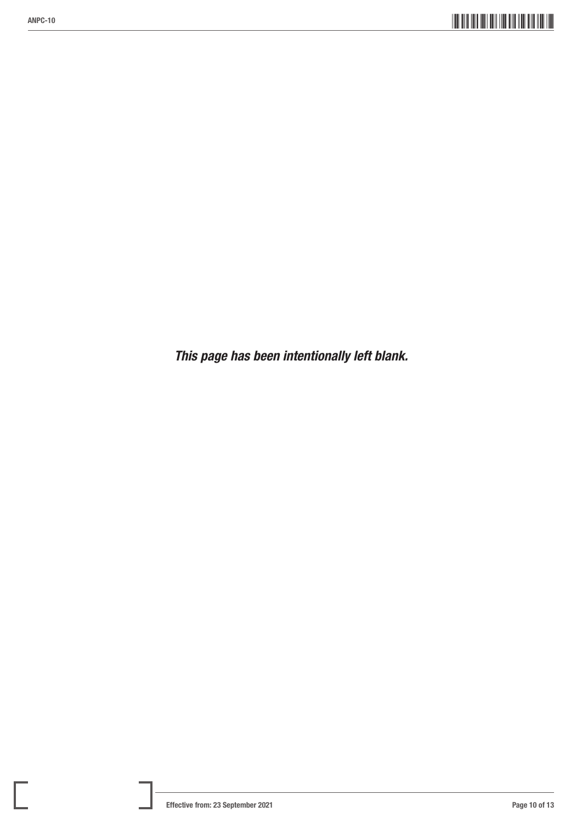*This page has been intentionally left blank.*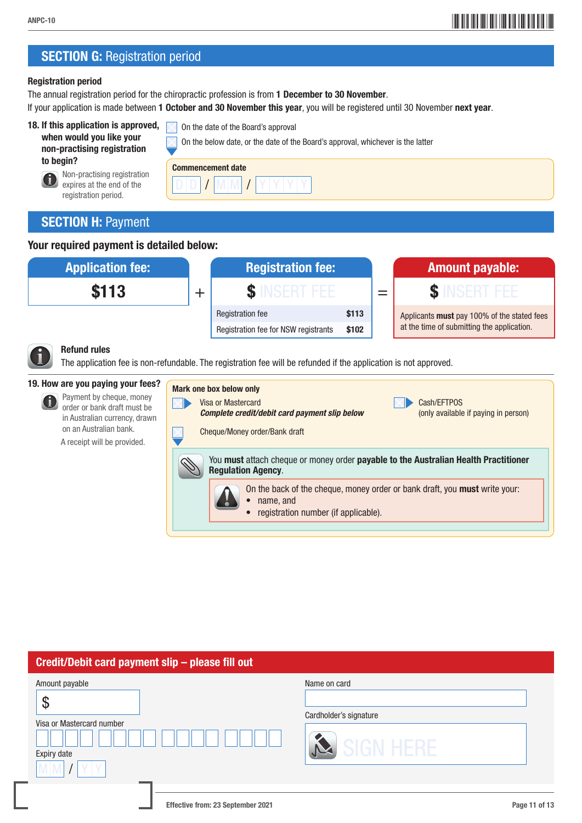## \*ANPC-1011\* ANPC-10

### **SECTION G: Registration period**

#### Registration period

The annual registration period for the chiropractic profession is from 1 December to 30 November. If your application is made between 1 October and 30 November this year, you will be registered until 30 November next year.

On the below date, or the date of the Board's approval, whichever is the latter

On the date of the Board's approval

 $D$   $D$   $I$   $M$   $M$   $I$   $Y$   $Y$   $Y$   $Y$ 

Commencement date

#### 18. If this application is approved, when would you like your non-practising registration to begin?

 Non-practising registration expires at the end of the registration period.

### **SECTION H: Payment**

#### Your required payment is detailed below:



#### Credit/Debit card payment slip – please fill out

| Amount payable<br>$\boldsymbol{\mathsf{S}}$<br>Visa or Mastercard number<br>Expiry date | Name on card<br>Cardholder's signature<br>SIGN HERE |  |
|-----------------------------------------------------------------------------------------|-----------------------------------------------------|--|
|                                                                                         |                                                     |  |
| Effective from: 23 September 2021                                                       | Page 11 of 13                                       |  |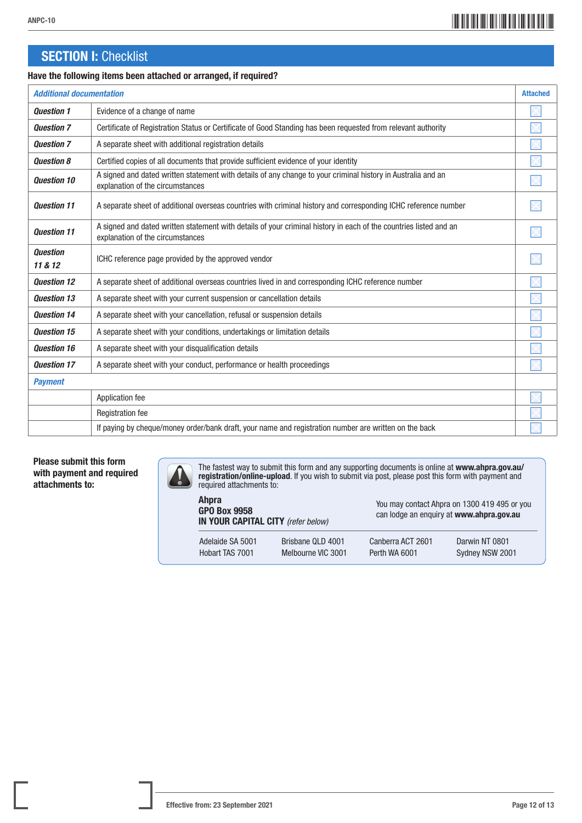## ANPC-10**22 AND - AND - AND - AND - AND - AND - AND - AND - AND - AND - AND - AND - AND - AND - AND - AND - AND - AND - AND - AND - AND - AND - AND - AND - AND - AND - AND - AND - AND - AND - AND - AND - AND - AND - AND - A**

### **SECTION I: Checklist**

#### Have the following items been attached or arranged, if required?

| <b>Additional documentation</b> |                                                                                                                                                       | <b>Attached</b> |
|---------------------------------|-------------------------------------------------------------------------------------------------------------------------------------------------------|-----------------|
| <b>Question 1</b>               | Evidence of a change of name                                                                                                                          |                 |
| <b>Ouestion 7</b>               | Certificate of Registration Status or Certificate of Good Standing has been requested from relevant authority                                         |                 |
| <b>Ouestion 7</b>               | A separate sheet with additional registration details                                                                                                 |                 |
| <b>Question 8</b>               | Certified copies of all documents that provide sufficient evidence of your identity                                                                   |                 |
| <b>Ouestion 10</b>              | A signed and dated written statement with details of any change to your criminal history in Australia and an<br>explanation of the circumstances      |                 |
| <b>Ouestion 11</b>              | A separate sheet of additional overseas countries with criminal history and corresponding ICHC reference number                                       |                 |
| <b>Ouestion 11</b>              | A signed and dated written statement with details of your criminal history in each of the countries listed and an<br>explanation of the circumstances |                 |
| <b>Ouestion</b><br>11 & 12      | ICHC reference page provided by the approved vendor                                                                                                   |                 |
| <b>Ouestion 12</b>              | A separate sheet of additional overseas countries lived in and corresponding ICHC reference number                                                    |                 |
| <b>Ouestion 13</b>              | A separate sheet with your current suspension or cancellation details                                                                                 |                 |
| <b>Ouestion 14</b>              | A separate sheet with your cancellation, refusal or suspension details                                                                                |                 |
| <b>Ouestion 15</b>              | A separate sheet with your conditions, undertakings or limitation details                                                                             |                 |
| <b>Ouestion 16</b>              | A separate sheet with your disqualification details                                                                                                   |                 |
| <b>Ouestion 17</b>              | A separate sheet with your conduct, performance or health proceedings                                                                                 |                 |
| <b>Payment</b>                  |                                                                                                                                                       |                 |
|                                 | Application fee                                                                                                                                       |                 |
|                                 | <b>Registration fee</b>                                                                                                                               |                 |
|                                 | If paying by cheque/money order/bank draft, your name and registration number are written on the back                                                 |                 |

Please submit this form with payment and required attachments to:



The fastest way to submit this form and any supporting documents is online at [www.ahpra.gov.au/](http://www.ahpra.gov.au/registration/online-upload) [registration/online-upload](http://www.ahpra.gov.au/registration/online-upload). If you wish to submit via post, please post this form with payment and required attachments to:

| <b>Ahpra</b><br><b>GPO Box 9958</b><br>IN YOUR CAPITAL CITY (refer below) |                    | You may contact Ahpra on 1300 419 495 or you<br>can lodge an enquiry at www.ahpra.gov.au |                 |
|---------------------------------------------------------------------------|--------------------|------------------------------------------------------------------------------------------|-----------------|
| Adelaide SA 5001                                                          | Brisbane QLD 4001  | Canberra ACT 2601                                                                        | Darwin NT 0801  |
| Hobart TAS 7001                                                           | Melbourne VIC 3001 | Perth WA 6001                                                                            | Sydney NSW 2001 |